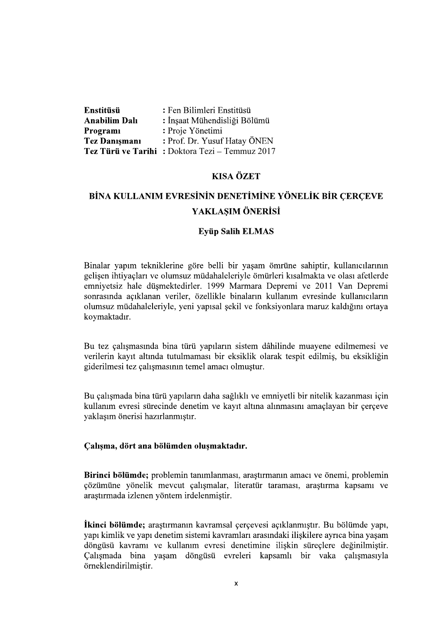| Enstitüsü            | : Fen Bilimleri Enstitüsü                      |
|----------------------|------------------------------------------------|
| <b>Anabilim Dalı</b> | : İnşaat Mühendisliği Bölümü                   |
| Programi             | : Proje Yönetimi                               |
| <b>Tez Danışmanı</b> | : Prof. Dr. Yusuf Hatay ÖNEN                   |
|                      | Tez Türü ve Tarihi: Doktora Tezi – Temmuz 2017 |

# **KISA ÖZET**

# BİNA KULLANIM EVRESİNİN DENETİMİNE YÖNELİK BİR CERCEVE YAKLASIM ÖNERİSİ

## **Evüp Salih ELMAS**

Binalar yapım tekniklerine göre belli bir yaşam ömrüne sahiptir, kullanıcılarının gelişen ihtiyaçları ve olumsuz müdahaleleriyle ömürleri kısalmakta ve olası afetlerde emniyetsiz hale düşmektedirler. 1999 Marmara Depremi ve 2011 Van Depremi sonrasında açıklanan veriler, özellikle binaların kullanım evresinde kullanıcıların olumsuz müdahaleleriyle, yeni yapısal şekil ve fonksiyonlara maruz kaldığını ortaya koymaktadır.

Bu tez çalışmasında bina türü yapıların sistem dâhilinde muayene edilmemesi ve verilerin kayıt altında tutulmaması bir eksiklik olarak tespit edilmiş, bu eksikliğin giderilmesi tez çalışmasının temel amacı olmuştur.

Bu çalışmada bina türü yapıların daha sağlıklı ve emniyetli bir nitelik kazanması için kullanım evresi sürecinde denetim ve kayıt altına alınmasını amaçlayan bir çerçeve yaklaşım önerisi hazırlanmıştır.

## Çalışma, dört ana bölümden oluşmaktadır.

Birinci bölümde; problemin tanımlanması, arastırmanın amacı ve önemi, problemin çözümüne yönelik mevcut çalışmalar, literatür taraması, araştırma kapsamı ve arastırmada izlenen yöntem irdelenmiştir.

**İkinci bölümde;** araştırmanın kavramsal çerçevesi açıklanmıştır. Bu bölümde yapı, yapı kimlik ve yapı denetim sistemi kavramları arasındaki iliskilere ayrıca bina yasam döngüsü kavramı ve kullanım evresi denetimine ilişkin süreçlere değinilmiştir. Calismada bina vasam döngüsü evreleri kapsamlı bir vaka çalışmasıyla örneklendirilmistir.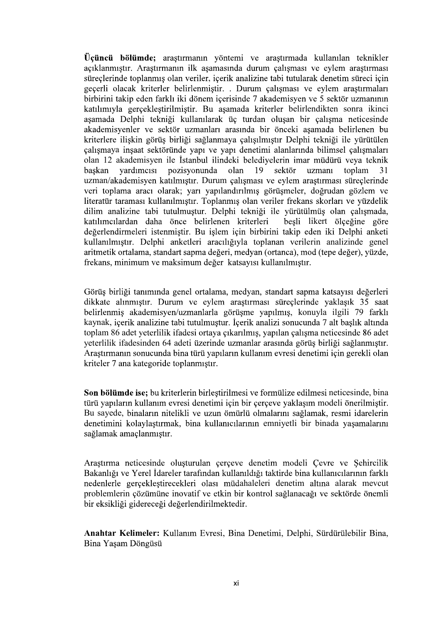Üçüncü bölümde; araştırmanın yöntemi ve araştırmada kullanılan teknikler açıklanmıştır. Araştırmanın ilk aşamasında durum çalışması ve eylem araştırması süreclerinde toplanmıs olan veriler, içerik analizine tabi tutularak denetim süreci için geçerli olacak kriterler belirlenmiştir. . Durum çalışması ve eylem araştırmaları birbirini takip eden farklı iki dönem içerisinde 7 akademisyen ve 5 sektör uzmanının katılımıyla gerçekleştirilmiştir. Bu aşamada kriterler belirlendikten sonra ikinci aşamada Delphi tekniği kullanılarak üç turdan oluşan bir çalışma neticesinde akademisyenler ve sektör uzmanları arasında bir önceki asamada belirlenen bu kriterlere ilişkin görüş birliği sağlanmaya çalışılmıştır Delphi tekniği ile yürütülen çalışmaya inşaat sektöründe yapı ve yapı denetimi alanlarında bilimsel çalışmaları olan 12 akademisyen ile İstanbul ilindeki belediyelerin imar müdürü veya teknik baskan vardimeisi pozisyonunda olan 19 sektör uzmanı toplam 31 uzman/akademisyen katılmıştır. Durum çalışması ve eylem araştırması süreçlerinde veri toplama aracı olarak; yarı yapılandırılmış görüşmeler, doğrudan gözlem ve literatür taraması kullanılmıştır. Toplanmış olan veriler frekans skorları ve yüzdelik dilim analizine tabi tutulmuştur. Delphi tekniği ile yürütülmüş olan çalışmada, katılımcılardan daha önce belirlenen kriterleri besli likert ölçeğine göre değerlendirmeleri istenmistir. Bu islem için birbirini takip eden iki Delphi anketi kullanılmıştır. Delphi anketleri aracılığıyla toplanan verilerin analizinde genel aritmetik ortalama, standart sapma değeri, medyan (ortanca), mod (tepe değer), yüzde, frekans, minimum ve maksimum değer katsayısı kullanılmıştır.

Görüş birliği tanımında genel ortalama, medyan, standart sapma katsayısı değerleri dikkate alınmıştır. Durum ve eylem araştırması süreçlerinde yaklaşık 35 saat belirlenmiş akademisyen/uzmanlarla görüşme yapılmış, konuyla ilgili 79 farklı kaynak, içerik analizine tabi tutulmuştur. İçerik analizi sonucunda 7 alt başlık altında toplam 86 adet yeterlilik ifadesi ortaya çıkarılmış, yapılan çalışma neticesinde 86 adet yeterlilik ifadesinden 64 adeti üzerinde uzmanlar arasında görüş birliği sağlanmıştır. Arastırmanın sonucunda bina türü yapıların kullanım evresi denetimi için gerekli olan kriteler 7 ana kategoride toplanmıştır.

Son bölümde ise; bu kriterlerin birleştirilmesi ve formülize edilmesi neticesinde, bina türü yapıların kullanım evresi denetimi için bir çerçeve yaklasım modeli önerilmiştir. Bu sayede, binaların nitelikli ve uzun ömürlü olmalarını sağlamak, resmi idarelerin denetimini kolaylaştırmak, bina kullanıcılarının emniyetli bir binada yaşamalarını sağlamak amaçlanmıştır.

Araştırma neticesinde oluşturulan çerçeve denetim modeli Çevre ve Şehircilik Bakanlığı ve Yerel İdareler tarafından kullanıldığı taktirde bina kullanıcılarının farklı nedenlerle gerçekleştirecekleri olası müdahaleleri denetim altına alarak mevcut problemlerin çözümüne inovatif ve etkin bir kontrol sağlanacağı ve sektörde önemli bir eksikliği gidereceği değerlendirilmektedir.

Anahtar Kelimeler: Kullanım Evresi, Bina Denetimi, Delphi, Sürdürülebilir Bina, Bina Yaşam Döngüsü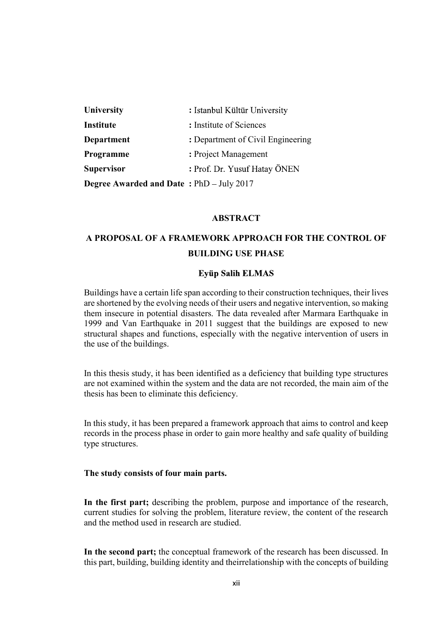| <b>University</b>                               | : Istanbul Kültür University      |
|-------------------------------------------------|-----------------------------------|
| Institute                                       | : Institute of Sciences           |
| <b>Department</b>                               | : Department of Civil Engineering |
| Programme                                       | : Project Management              |
| <b>Supervisor</b>                               | : Prof. Dr. Yusuf Hatay ÖNEN      |
| <b>Degree Awarded and Date: PhD - July 2017</b> |                                   |

#### ABSTRACT

# A PROPOSAL OF A FRAMEWORK APPROACH FOR THE CONTROL OF BUILDING USE PHASE

### **Eyüp Salih ELMAS**

Buildings have a certain life span according to their construction techniques, their lives are shortened by the evolving needs of their users and negative intervention, so making them insecure in potential disasters. The data revealed after Marmara Earthquake in 1999 and Van Earthquake in 2011 suggest that the buildings are exposed to new structural shapes and functions, especially with the negative intervention of users in the use of the buildings.

In this thesis study, it has been identified as a deficiency that building type structures are not examined within the system and the data are not recorded, the main aim of the thesis has been to eliminate this deficiency.

In this study, it has been prepared a framework approach that aims to control and keep records in the process phase in order to gain more healthy and safe quality of building type structures.

#### The study consists of four main parts.

In the first part; describing the problem, purpose and importance of the research, current studies for solving the problem, literature review, the content of the research and the method used in research are studied.

In the second part; the conceptual framework of the research has been discussed. In this part, building, building identity and theirrelationship with the concepts of building